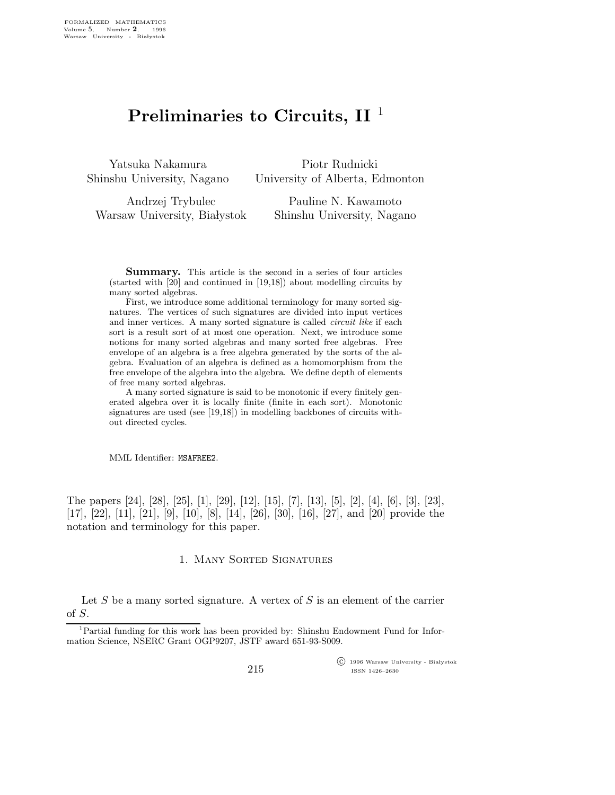## Preliminaries to Circuits,  $II<sup>1</sup>$

Yatsuka Nakamura Shinshu University, Nagano

Piotr Rudnicki University of Alberta, Edmonton

Andrzej Trybulec Warsaw University, Białystok Pauline N. Kawamoto Shinshu University, Nagano

Summary. This article is the second in a series of four articles (started with [20] and continued in [19,18]) about modelling circuits by many sorted algebras.

First, we introduce some additional terminology for many sorted signatures. The vertices of such signatures are divided into input vertices and inner vertices. A many sorted signature is called circuit like if each sort is a result sort of at most one operation. Next, we introduce some notions for many sorted algebras and many sorted free algebras. Free envelope of an algebra is a free algebra generated by the sorts of the algebra. Evaluation of an algebra is defined as a homomorphism from the free envelope of the algebra into the algebra. We define depth of elements of free many sorted algebras.

A many sorted signature is said to be monotonic if every finitely generated algebra over it is locally finite (finite in each sort). Monotonic signatures are used (see [19,18]) in modelling backbones of circuits without directed cycles.

MML Identifier: MSAFREE2.

The papers [24], [28], [25], [1], [29], [12], [15], [7], [13], [5], [2], [4], [6], [3], [23], [17], [22], [11], [21], [9], [10], [8], [14], [26], [30], [16], [27], and [20] provide the notation and terminology for this paper.

## 1. Many Sorted Signatures

Let  $S$  be a many sorted signature. A vertex of  $S$  is an element of the carrier of S.

 $\overline{\text{C}}$  1996 Warsaw University - Białystok ISSN 1426–2630

<sup>1</sup>Partial funding for this work has been provided by: Shinshu Endowment Fund for Information Science, NSERC Grant OGP9207, JSTF award 651-93-S009.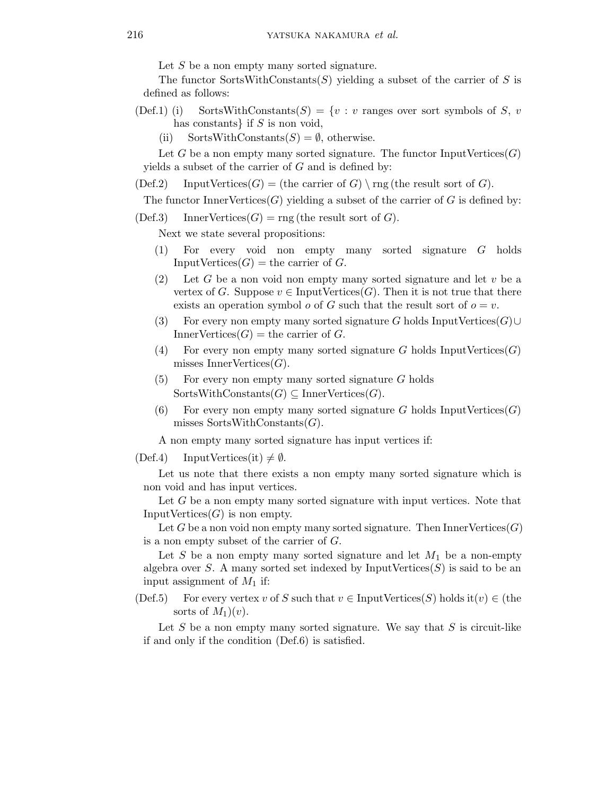Let  $S$  be a non empty many sorted signature.

The functor SortsWithConstants $(S)$  yielding a subset of the carrier of S is defined as follows:

- (Def.1) (i) SortsWithConstants(S) = {v : v ranges over sort symbols of S, v has constants} if  $S$  is non void,
	- (ii) SortsWithConstants $(S) = \emptyset$ , otherwise.

Let G be a non empty many sorted signature. The functor InputVertices $(G)$ yields a subset of the carrier of  $G$  and is defined by:

 $(Def.2)$  InputVertices $(G)$  = (the carrier of G) \ rng (the result sort of G).

The functor Inner Vertices  $(G)$  yielding a subset of the carrier of G is defined by:

 $(Def.3)$  InnerVertices $(G)$  = rng (the result sort of G).

Next we state several propositions:

- (1) For every void non empty many sorted signature G holds InputVertices $(G)$  = the carrier of  $G$ .
- (2) Let G be a non void non empty many sorted signature and let  $v$  be a vertex of G. Suppose  $v \in \text{InputVertices}(G)$ . Then it is not true that there exists an operation symbol  $o$  of  $G$  such that the result sort of  $o = v$ .
- (3) For every non empty many sorted signature G holds InputVertices( $G$ )∪ InnerVertices $(G)$  = the carrier of  $G$ .
- (4) For every non empty many sorted signature G holds InputVertices $(G)$ misses InnerVertices $(G)$ .
- $(5)$  For every non empty many sorted signature G holds  $SortsWithConstants(G) \subseteq InnerVertices(G).$
- (6) For every non empty many sorted signature G holds InputVertices $(G)$ misses SortsWithConstants $(G)$ .

A non empty many sorted signature has input vertices if:

(Def.4) InputVertices(it)  $\neq \emptyset$ .

Let us note that there exists a non empty many sorted signature which is non void and has input vertices.

Let G be a non empty many sorted signature with input vertices. Note that Input Vertices $(G)$  is non empty.

Let G be a non void non empty many sorted signature. Then InnerVertices $(G)$ is a non empty subset of the carrier of G.

Let S be a non empty many sorted signature and let  $M_1$  be a non-empty algebra over S. A many sorted set indexed by InputVertices $(S)$  is said to be an input assignment of  $M_1$  if:

(Def.5) For every vertex v of S such that  $v \in \text{InputVertices}(S)$  holds it $(v) \in$  (the sorts of  $M_1)(v)$ .

Let  $S$  be a non empty many sorted signature. We say that  $S$  is circuit-like if and only if the condition (Def.6) is satisfied.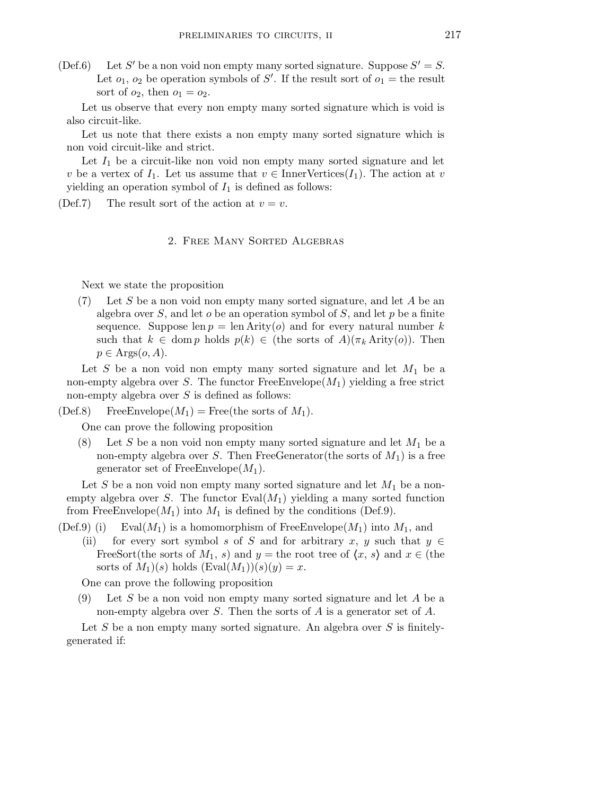$(Def.6)$ ' be a non void non empty many sorted signature. Suppose  $S' = S$ . Let  $o_1$ ,  $o_2$  be operation symbols of S'. If the result sort of  $o_1 =$  the result sort of  $o_2$ , then  $o_1 = o_2$ .

Let us observe that every non empty many sorted signature which is void is also circuit-like.

Let us note that there exists a non empty many sorted signature which is non void circuit-like and strict.

Let  $I_1$  be a circuit-like non void non empty many sorted signature and let v be a vertex of  $I_1$ . Let us assume that  $v \in \text{InnerVertices}(I_1)$ . The action at v yielding an operation symbol of  $I_1$  is defined as follows:

(Def.7) The result sort of the action at  $v = v$ .

## 2. Free Many Sorted Algebras

Next we state the proposition

 $(7)$  Let S be a non void non empty many sorted signature, and let A be an algebra over  $S$ , and let  $o$  be an operation symbol of  $S$ , and let  $p$  be a finite sequence. Suppose len  $p = \text{len Arity}(o)$  and for every natural number k such that  $k \in \text{dom } p$  holds  $p(k) \in (\text{the sorts of } A)(\pi_k \text{ Arity}(o)).$  Then  $p \in \text{Args}(o, A).$ 

Let  $S$  be a non void non empty many sorted signature and let  $M_1$  be a non-empty algebra over S. The functor  $FreeEnvelope(M_1)$  yielding a free strict non-empty algebra over  $S$  is defined as follows:

(Def.8) FreeEnvelope( $M_1$ ) = Free(the sorts of  $M_1$ ).

One can prove the following proposition

(8) Let S be a non void non empty many sorted signature and let  $M_1$  be a non-empty algebra over S. Then FreeGenerator(the sorts of  $M_1$ ) is a free generator set of FreeEnvelope $(M_1)$ .

Let S be a non void non empty many sorted signature and let  $M_1$  be a nonempty algebra over S. The functor  $Eval(M_1)$  yielding a many sorted function from FreeEnvelope( $M_1$ ) into  $M_1$  is defined by the conditions (Def.9).

(Def.9) (i) Eval $(M_1)$  is a homomorphism of FreeEnvelope $(M_1)$  into  $M_1$ , and

(ii) for every sort symbol s of S and for arbitrary x, y such that  $y \in$ FreeSort(the sorts of  $M_1$ , s) and y = the root tree of  $\langle x, s \rangle$  and  $x \in$  (the sorts of  $M_1)(s)$  holds  $(Eval(M_1))(s)(y) = x$ .

One can prove the following proposition

 $(9)$  Let S be a non void non empty many sorted signature and let A be a non-empty algebra over S. Then the sorts of A is a generator set of  $A$ .

Let S be a non empty many sorted signature. An algebra over S is finitelygenerated if: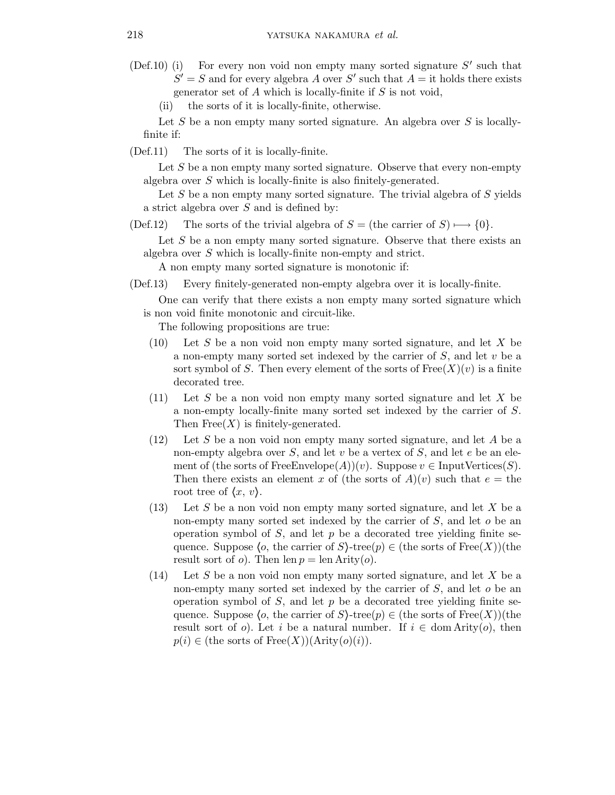- (Def.10) (i) For every non void non empty many sorted signature  $S'$  such that  $S' = S$  and for every algebra A over S' such that  $A =$  it holds there exists generator set of  $A$  which is locally-finite if  $S$  is not void,
	- (ii) the sorts of it is locally-finite, otherwise.

Let S be a non empty many sorted signature. An algebra over S is locallyfinite if:

(Def.11) The sorts of it is locally-finite.

Let  $S$  be a non empty many sorted signature. Observe that every non-empty algebra over S which is locally-finite is also finitely-generated.

Let S be a non empty many sorted signature. The trivial algebra of S yields a strict algebra over S and is defined by:

(Def.12) The sorts of the trivial algebra of  $S =$  (the carrier of  $S$ )  $\rightarrow$  {0}.

Let S be a non empty many sorted signature. Observe that there exists an algebra over S which is locally-finite non-empty and strict.

A non empty many sorted signature is monotonic if:

(Def.13) Every finitely-generated non-empty algebra over it is locally-finite.

One can verify that there exists a non empty many sorted signature which is non void finite monotonic and circuit-like.

The following propositions are true:

- $(10)$  Let S be a non void non empty many sorted signature, and let X be a non-empty many sorted set indexed by the carrier of  $S$ , and let  $v$  be a sort symbol of S. Then every element of the sorts of  $Free(X)(v)$  is a finite decorated tree.
- $(11)$  Let S be a non void non empty many sorted signature and let X be a non-empty locally-finite many sorted set indexed by the carrier of S. Then  $Free(X)$  is finitely-generated.
- $(12)$  Let S be a non void non empty many sorted signature, and let A be a non-empty algebra over  $S$ , and let  $v$  be a vertex of  $S$ , and let  $e$  be an element of (the sorts of FreeEnvelope(A))(v). Suppose  $v \in \text{InputVertices}(S)$ . Then there exists an element x of (the sorts of  $A)(v)$  such that  $e =$  the root tree of  $\langle x, v \rangle$ .
- $(13)$  Let S be a non void non empty many sorted signature, and let X be a non-empty many sorted set indexed by the carrier of  $S$ , and let  $o$  be an operation symbol of  $S$ , and let  $p$  be a decorated tree yielding finite sequence. Suppose  $\langle o, \text{ the carrier of } S \rangle$ -tree $(p) \in (\text{the sorts of Free}(X))$ (the result sort of  $o$ ). Then len  $p = \text{len Arity}(o)$ .
- $(14)$  Let S be a non void non empty many sorted signature, and let X be a non-empty many sorted set indexed by the carrier of  $S$ , and let  $o$  be an operation symbol of  $S$ , and let  $p$  be a decorated tree yielding finite sequence. Suppose  $\langle o, \text{ the carrier of } S \rangle$ -tree $(p) \in (\text{the sorts of Free}(X))$ (the result sort of o). Let i be a natural number. If  $i \in \text{dom} \text{Arity}(o)$ , then  $p(i) \in ($ the sorts of Free $(X)$ )(Arity $(o)(i)$ ).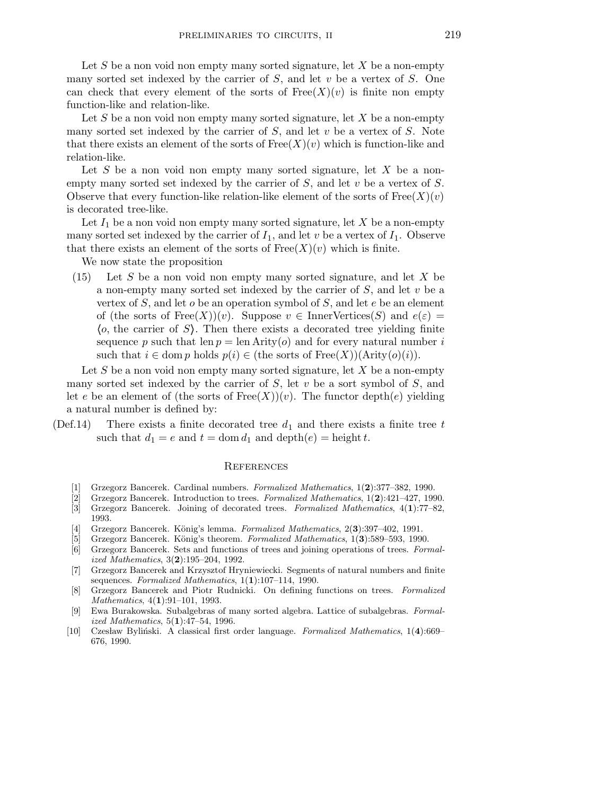Let S be a non void non empty many sorted signature, let X be a non-empty many sorted set indexed by the carrier of  $S$ , and let  $v$  be a vertex of  $S$ . One can check that every element of the sorts of  $Free(X)(v)$  is finite non empty function-like and relation-like.

Let S be a non void non empty many sorted signature, let X be a non-empty many sorted set indexed by the carrier of  $S$ , and let  $v$  be a vertex of  $S$ . Note that there exists an element of the sorts of  $Free(X)(v)$  which is function-like and relation-like.

Let  $S$  be a non-void non empty many sorted signature, let  $X$  be a nonempty many sorted set indexed by the carrier of  $S$ , and let v be a vertex of  $S$ . Observe that every function-like relation-like element of the sorts of  $Free(X)(v)$ is decorated tree-like.

Let  $I_1$  be a non void non empty many sorted signature, let X be a non-empty many sorted set indexed by the carrier of  $I_1$ , and let v be a vertex of  $I_1$ . Observe that there exists an element of the sorts of  $Free(X)(v)$  which is finite.

We now state the proposition

 $(15)$  Let S be a non void non empty many sorted signature, and let X be a non-empty many sorted set indexed by the carrier of  $S$ , and let  $v$  be a vertex of  $S$ , and let  $o$  be an operation symbol of  $S$ , and let  $e$  be an element of (the sorts of  $Free(X)(v)$ . Suppose  $v \in InnerVertices(S)$  and  $e(\varepsilon) =$  $\langle o, \text{ the carrier of } S \rangle$ . Then there exists a decorated tree yielding finite sequence p such that len  $p = \text{len Arity}(o)$  and for every natural number i such that  $i \in \text{dom } p$  holds  $p(i) \in (\text{the sorts of Free}(X))(\text{Arity}(o)(i)).$ 

Let S be a non void non empty many sorted signature, let X be a non-empty many sorted set indexed by the carrier of  $S$ , let v be a sort symbol of  $S$ , and let e be an element of (the sorts of  $Free(X))(v)$ ). The functor depth(e) yielding a natural number is defined by:

(Def.14) There exists a finite decorated tree  $d_1$  and there exists a finite tree t such that  $d_1 = e$  and  $t = \text{dom } d_1$  and  $\text{depth}(e) = \text{height } t$ .

## **REFERENCES**

- [1] Grzegorz Bancerek. Cardinal numbers. *Formalized Mathematics*,  $1(2):377-382$ , 1990.<br>[2] Grzegorz Bancerek. Introduction to trees. *Formalized Mathematics*,  $1(2):421-427$ , 199
- [2] Grzegorz Bancerek. Introduction to trees. Formalized Mathematics, 1(2):421–427, 1990.
- [3] Grzegorz Bancerek. Joining of decorated trees. Formalized Mathematics, 4(1):77–82, 1993.
- [4] Grzegorz Bancerek. König's lemma. Formalized Mathematics,  $2(3):397-402$ , 1991.
- [5] Grzegorz Bancerek. König's theorem. Formalized Mathematics, 1(3):589–593, 1990.
- [6] Grzegorz Bancerek. Sets and functions of trees and joining operations of trees. Formalized Mathematics, 3(2):195–204, 1992.
- [7] Grzegorz Bancerek and Krzysztof Hryniewiecki. Segments of natural numbers and finite sequences. Formalized Mathematics,  $1(1):107-114$ , 1990.
- [8] Grzegorz Bancerek and Piotr Rudnicki. On defining functions on trees. Formalized Mathematics, 4(1):91-101, 1993.
- [9] Ewa Burakowska. Subalgebras of many sorted algebra. Lattice of subalgebras. Formalized Mathematics, 5(1):47–54, 1996.
- [10] Czesław Byliński. A classical first order language. Formalized Mathematics,  $1(4):669-$ 676, 1990.